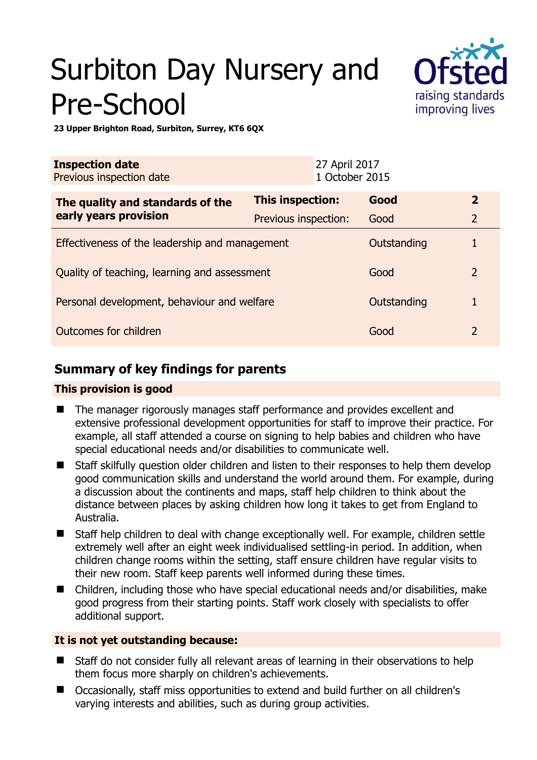# Surbiton Day Nursery and Pre-School



**23 Upper Brighton Road, Surbiton, Surrey, KT6 6QX** 

| <b>Inspection date</b><br>Previous inspection date        |                      | 27 April 2017<br>1 October 2015 |             |                |
|-----------------------------------------------------------|----------------------|---------------------------------|-------------|----------------|
| The quality and standards of the<br>early years provision | This inspection:     |                                 | Good        | $\overline{2}$ |
|                                                           | Previous inspection: |                                 | Good        | $\overline{2}$ |
| Effectiveness of the leadership and management            |                      |                                 | Outstanding |                |
| Quality of teaching, learning and assessment              |                      |                                 | Good        | $\overline{2}$ |
| Personal development, behaviour and welfare               |                      |                                 | Outstanding |                |
| Outcomes for children                                     |                      |                                 | Good        | 2              |

## **Summary of key findings for parents**

## **This provision is good**

- The manager rigorously manages staff performance and provides excellent and extensive professional development opportunities for staff to improve their practice. For example, all staff attended a course on signing to help babies and children who have special educational needs and/or disabilities to communicate well.
- Staff skilfully question older children and listen to their responses to help them develop good communication skills and understand the world around them. For example, during a discussion about the continents and maps, staff help children to think about the distance between places by asking children how long it takes to get from England to Australia.
- Staff help children to deal with change exceptionally well. For example, children settle extremely well after an eight week individualised settling-in period. In addition, when children change rooms within the setting, staff ensure children have regular visits to their new room. Staff keep parents well informed during these times.
- Children, including those who have special educational needs and/or disabilities, make good progress from their starting points. Staff work closely with specialists to offer additional support.

## **It is not yet outstanding because:**

- Staff do not consider fully all relevant areas of learning in their observations to help them focus more sharply on children's achievements.
- Occasionally, staff miss opportunities to extend and build further on all children's varying interests and abilities, such as during group activities.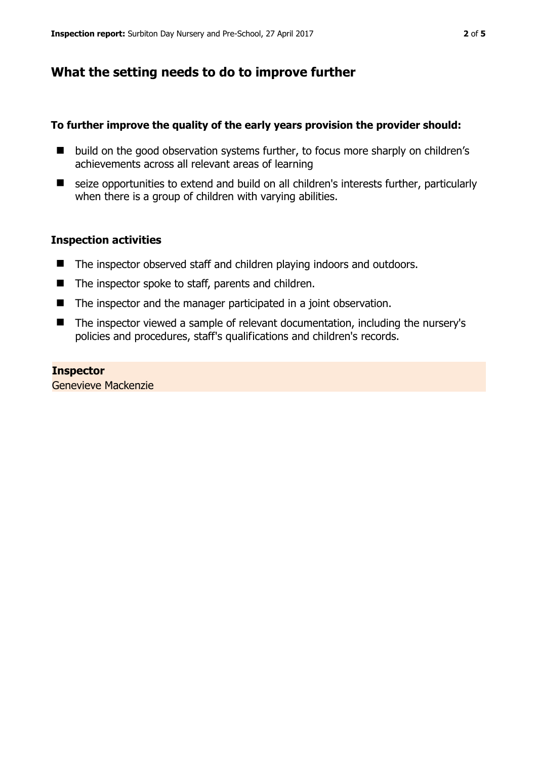## **What the setting needs to do to improve further**

#### **To further improve the quality of the early years provision the provider should:**

- build on the good observation systems further, to focus more sharply on children's achievements across all relevant areas of learning
- seize opportunities to extend and build on all children's interests further, particularly when there is a group of children with varying abilities.

#### **Inspection activities**

- The inspector observed staff and children playing indoors and outdoors.
- $\blacksquare$  The inspector spoke to staff, parents and children.
- The inspector and the manager participated in a joint observation.
- The inspector viewed a sample of relevant documentation, including the nursery's policies and procedures, staff's qualifications and children's records.

**Inspector**  Genevieve Mackenzie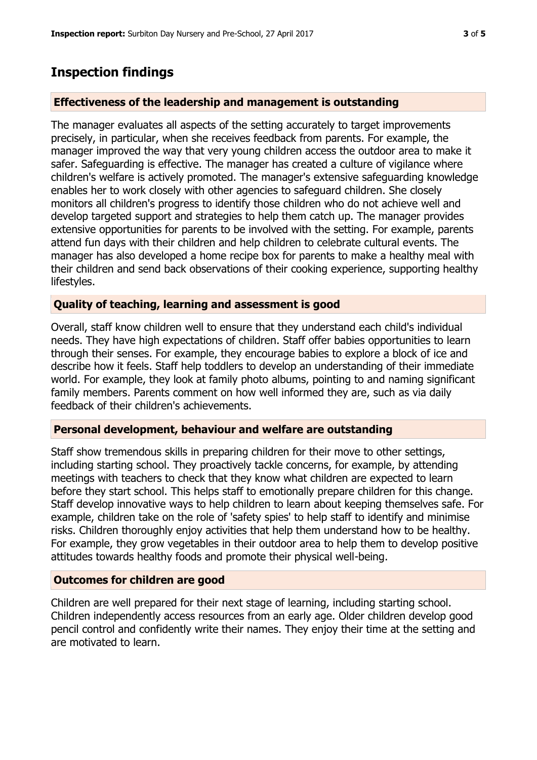## **Inspection findings**

## **Effectiveness of the leadership and management is outstanding**

The manager evaluates all aspects of the setting accurately to target improvements precisely, in particular, when she receives feedback from parents. For example, the manager improved the way that very young children access the outdoor area to make it safer. Safeguarding is effective. The manager has created a culture of vigilance where children's welfare is actively promoted. The manager's extensive safeguarding knowledge enables her to work closely with other agencies to safeguard children. She closely monitors all children's progress to identify those children who do not achieve well and develop targeted support and strategies to help them catch up. The manager provides extensive opportunities for parents to be involved with the setting. For example, parents attend fun days with their children and help children to celebrate cultural events. The manager has also developed a home recipe box for parents to make a healthy meal with their children and send back observations of their cooking experience, supporting healthy lifestyles.

## **Quality of teaching, learning and assessment is good**

Overall, staff know children well to ensure that they understand each child's individual needs. They have high expectations of children. Staff offer babies opportunities to learn through their senses. For example, they encourage babies to explore a block of ice and describe how it feels. Staff help toddlers to develop an understanding of their immediate world. For example, they look at family photo albums, pointing to and naming significant family members. Parents comment on how well informed they are, such as via daily feedback of their children's achievements.

## **Personal development, behaviour and welfare are outstanding**

Staff show tremendous skills in preparing children for their move to other settings, including starting school. They proactively tackle concerns, for example, by attending meetings with teachers to check that they know what children are expected to learn before they start school. This helps staff to emotionally prepare children for this change. Staff develop innovative ways to help children to learn about keeping themselves safe. For example, children take on the role of 'safety spies' to help staff to identify and minimise risks. Children thoroughly enjoy activities that help them understand how to be healthy. For example, they grow vegetables in their outdoor area to help them to develop positive attitudes towards healthy foods and promote their physical well-being.

## **Outcomes for children are good**

Children are well prepared for their next stage of learning, including starting school. Children independently access resources from an early age. Older children develop good pencil control and confidently write their names. They enjoy their time at the setting and are motivated to learn.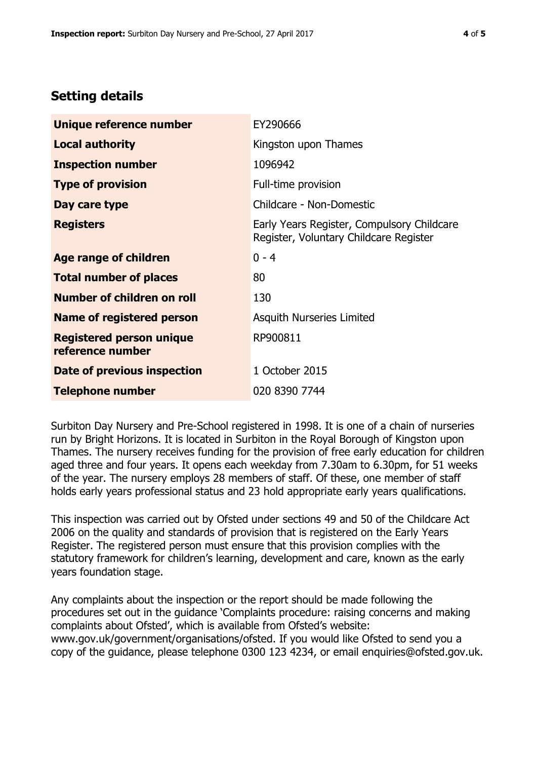# **Setting details**

| Unique reference number                             | EY290666                                                                             |  |
|-----------------------------------------------------|--------------------------------------------------------------------------------------|--|
| <b>Local authority</b>                              | Kingston upon Thames                                                                 |  |
| <b>Inspection number</b>                            | 1096942                                                                              |  |
| <b>Type of provision</b>                            | Full-time provision                                                                  |  |
| Day care type                                       | Childcare - Non-Domestic                                                             |  |
| <b>Registers</b>                                    | Early Years Register, Compulsory Childcare<br>Register, Voluntary Childcare Register |  |
| Age range of children                               | $0 - 4$                                                                              |  |
| <b>Total number of places</b>                       | 80                                                                                   |  |
| Number of children on roll                          | 130                                                                                  |  |
| Name of registered person                           | Asquith Nurseries Limited                                                            |  |
| <b>Registered person unique</b><br>reference number | RP900811                                                                             |  |
| Date of previous inspection                         | 1 October 2015                                                                       |  |
| <b>Telephone number</b>                             | 020 8390 7744                                                                        |  |

Surbiton Day Nursery and Pre-School registered in 1998. It is one of a chain of nurseries run by Bright Horizons. It is located in Surbiton in the Royal Borough of Kingston upon Thames. The nursery receives funding for the provision of free early education for children aged three and four years. It opens each weekday from 7.30am to 6.30pm, for 51 weeks of the year. The nursery employs 28 members of staff. Of these, one member of staff holds early years professional status and 23 hold appropriate early years qualifications.

This inspection was carried out by Ofsted under sections 49 and 50 of the Childcare Act 2006 on the quality and standards of provision that is registered on the Early Years Register. The registered person must ensure that this provision complies with the statutory framework for children's learning, development and care, known as the early years foundation stage.

Any complaints about the inspection or the report should be made following the procedures set out in the guidance 'Complaints procedure: raising concerns and making complaints about Ofsted', which is available from Ofsted's website: www.gov.uk/government/organisations/ofsted. If you would like Ofsted to send you a copy of the guidance, please telephone 0300 123 4234, or email enquiries@ofsted.gov.uk.